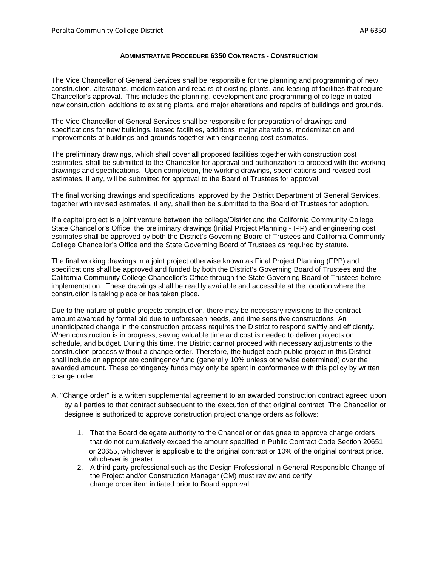## **ADMINISTRATIVE PROCEDURE 6350 CONTRACTS - CONSTRUCTION**

The Vice Chancellor of General Services shall be responsible for the planning and programming of new construction, alterations, modernization and repairs of existing plants, and leasing of facilities that require Chancellor's approval. This includes the planning, development and programming of college-initiated new construction, additions to existing plants, and major alterations and repairs of buildings and grounds.

The Vice Chancellor of General Services shall be responsible for preparation of drawings and specifications for new buildings, leased facilities, additions, major alterations, modernization and improvements of buildings and grounds together with engineering cost estimates.

The preliminary drawings, which shall cover all proposed facilities together with construction cost estimates, shall be submitted to the Chancellor for approval and authorization to proceed with the working drawings and specifications. Upon completion, the working drawings, specifications and revised cost estimates, if any, will be submitted for approval to the Board of Trustees for approval

The final working drawings and specifications, approved by the District Department of General Services, together with revised estimates, if any, shall then be submitted to the Board of Trustees for adoption.

If a capital project is a joint venture between the college/District and the California Community College State Chancellor's Office, the preliminary drawings (Initial Project Planning - IPP) and engineering cost estimates shall be approved by both the District's Governing Board of Trustees and California Community College Chancellor's Office and the State Governing Board of Trustees as required by statute.

The final working drawings in a joint project otherwise known as Final Project Planning (FPP) and specifications shall be approved and funded by both the District's Governing Board of Trustees and the California Community College Chancellor's Office through the State Governing Board of Trustees before implementation. These drawings shall be readily available and accessible at the location where the construction is taking place or has taken place.

Due to the nature of public projects construction, there may be necessary revisions to the contract amount awarded by formal bid due to unforeseen needs, and time sensitive constructions. An unanticipated change in the construction process requires the District to respond swiftly and efficiently. When construction is in progress, saving valuable time and cost is needed to deliver projects on schedule, and budget. During this time, the District cannot proceed with necessary adjustments to the construction process without a change order. Therefore, the budget each public project in this District shall include an appropriate contingency fund (generally 10% unless otherwise determined) over the awarded amount. These contingency funds may only be spent in conformance with this policy by written change order.

- A. "Change order" is a written supplemental agreement to an awarded construction contract agreed upon by all parties to that contract subsequent to the execution of that original contract. The Chancellor or designee is authorized to approve construction project change orders as follows:
	- 1. That the Board delegate authority to the Chancellor or designee to approve change orders that do not cumulatively exceed the amount specified in Public Contract Code Section 20651 or 20655, whichever is applicable to the original contract or 10% of the original contract price. whichever is greater.
	- 2. A third party professional such as the Design Professional in General Responsible Change of the Project and/or Construction Manager (CM) must review and certify change order item initiated prior to Board approval.